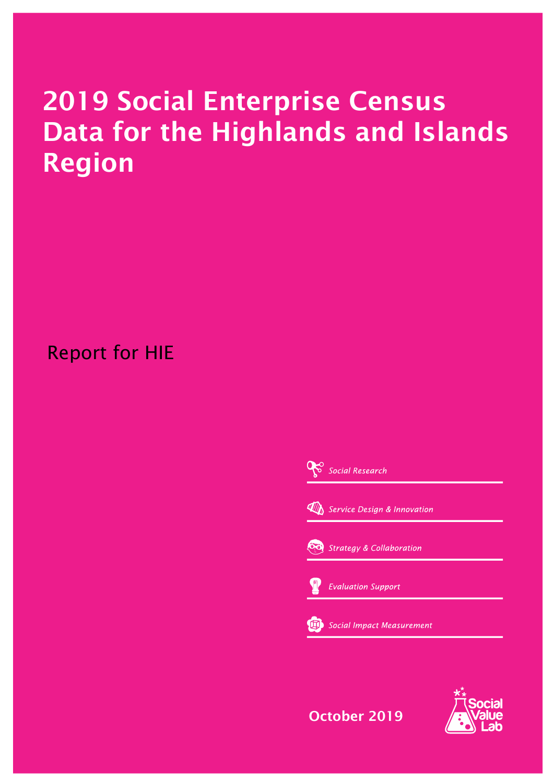# **2019 Social Enterprise Census Data for the Highlands and Islands Region**

Report for HIE

Social Research **WAN** Service Design & Innovation Strategy & Collaboration **Evaluation Support** Social Impact Measurement

**October 2019**

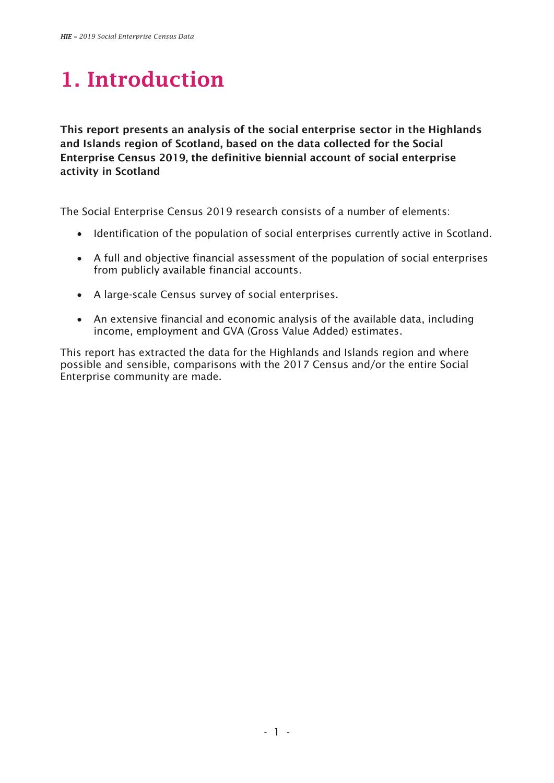# **1. Introduction**

**This report presents an analysis of the social enterprise sector in the Highlands and Islands region of Scotland, based on the data collected for the Social Enterprise Census 2019, the definitive biennial account of social enterprise activity in Scotland** 

The Social Enterprise Census 2019 research consists of a number of elements:

- Identification of the population of social enterprises currently active in Scotland.
- A full and objective financial assessment of the population of social enterprises from publicly available financial accounts.
- A large-scale Census survey of social enterprises.
- An extensive financial and economic analysis of the available data, including income, employment and GVA (Gross Value Added) estimates.

This report has extracted the data for the Highlands and Islands region and where possible and sensible, comparisons with the 2017 Census and/or the entire Social Enterprise community are made.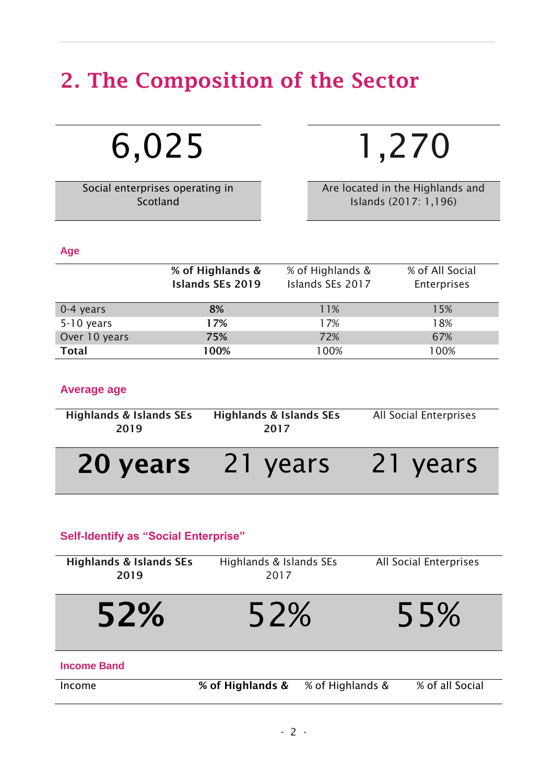# **2. The Composition of the Sector**

6,025 1,270

Social enterprises operating in Scotland

Are located in the Highlands and Islands (2017: 1,196)

#### **Age**

|               | % of Highlands &<br><b>Islands SEs 2019</b> | % of Highlands &<br>Islands SEs 2017 | % of All Social<br><b>Enterprises</b> |
|---------------|---------------------------------------------|--------------------------------------|---------------------------------------|
| 0-4 years     | 8%                                          | 11%                                  | 15%                                   |
| 5-10 years    | 17%                                         | 17%                                  | 18%                                   |
| Over 10 years | 75%                                         | 72%                                  | 67%                                   |
| <b>Total</b>  | 100%                                        | 100%                                 | 100%                                  |

### **Average age**

| <b>Highlands &amp; Islands SEs</b><br>2019 | <b>Highlands &amp; Islands SEs</b><br>2017 | All Social Enterprises |
|--------------------------------------------|--------------------------------------------|------------------------|
| 20 years                                   | 21 years                                   | 21 years               |

## **Self-Identify as "Social Enterprise"**

| <b>Highlands &amp; Islands SEs</b><br>2019 | Highlands & Islands SEs<br>2017 |                  | All Social Enterprises |
|--------------------------------------------|---------------------------------|------------------|------------------------|
| 52%                                        | 52%                             |                  | 55%                    |
| <b>Income Band</b>                         |                                 |                  |                        |
| Income                                     | % of Highlands &                | % of Highlands & | % of all Social        |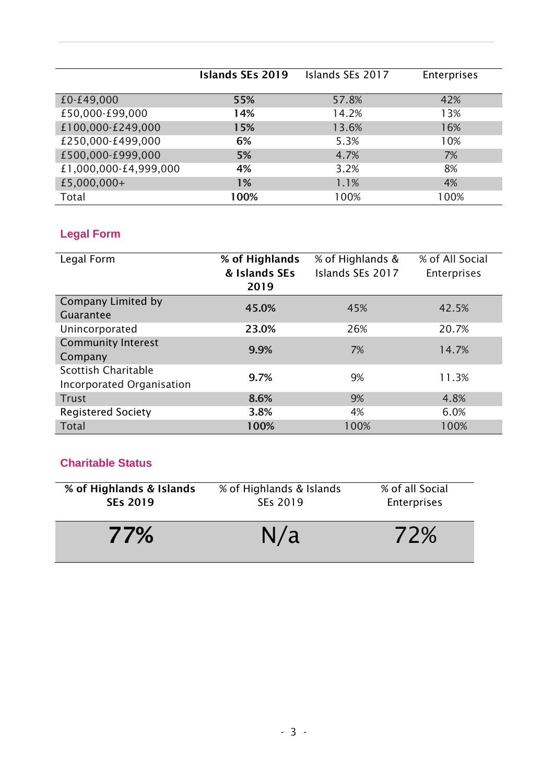**Islands SEs 2019** Islands SEs 2017 Enterprises £0-£49,000 **55%** 57.8% 42% £50,000-£99,000 **14%** 14.2% 13% £100,000-£249,000 **15%** 13.6% 16% £250,000-£499,000 **6%** 5.3% 10% £500,000-£999,000 **5%** 4.7% 7% £1,000,000-£4,999,000 **4%** 3.2% 8% £5,000,000+ **1%** 1.1% 4% Total **100%** 100% 100%

## **Legal Form**

| Legal Form                                       | % of Highlands<br>& Islands SEs<br>2019 | % of Highlands &<br>Islands SEs 2017 | % of All Social<br><b>Enterprises</b> |
|--------------------------------------------------|-----------------------------------------|--------------------------------------|---------------------------------------|
| <b>Company Limited by</b><br>Guarantee           | 45.0%                                   | 45%                                  | 42.5%                                 |
| Unincorporated                                   | 23.0%                                   | 26%                                  | 20.7%                                 |
| <b>Community Interest</b><br>Company             | 9.9%                                    | 7%                                   | 14.7%                                 |
| Scottish Charitable<br>Incorporated Organisation | 9.7%                                    | 9%                                   | 11.3%                                 |
| <b>Trust</b>                                     | 8.6%                                    | 9%                                   | 4.8%                                  |
| <b>Registered Society</b>                        | 3.8%                                    | 4%                                   | 6.0%                                  |
| <b>Total</b>                                     | 100%                                    | 100%                                 | 100%                                  |

## **Charitable Status**

| % of Highlands & Islands | % of Highlands & Islands | % of all Social |
|--------------------------|--------------------------|-----------------|
| <b>SEs 2019</b>          | SEs 2019                 | Enterprises     |
| 77%                      | N/a                      | 72%             |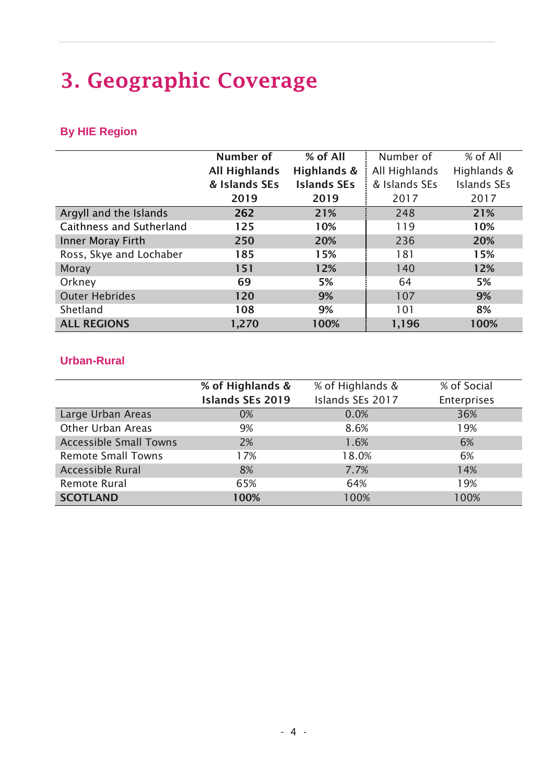# **3. Geographic Coverage**

# **By HIE Region**

|                          | Number of            | % of All           | Number of     | $%$ of All         |
|--------------------------|----------------------|--------------------|---------------|--------------------|
|                          | <b>All Highlands</b> | Highlands &        | All Highlands | Highlands &        |
|                          | & Islands SEs        | <b>Islands SEs</b> | & Islands SEs | <b>Islands SEs</b> |
|                          | 2019                 | 2019               | 2017          | 2017               |
| Argyll and the Islands   | 262                  | 21%                | 248           | 21%                |
| Caithness and Sutherland | 125                  | 10%                | 119           | 10%                |
| Inner Moray Firth        | 250                  | 20%                | 236           | 20%                |
| Ross, Skye and Lochaber  | 185                  | 15%                | 181           | 15%                |
| <b>Moray</b>             | 151                  | 12%                | 140           | 12%                |
| Orkney                   | 69                   | 5%                 | 64            | 5%                 |
| <b>Outer Hebrides</b>    | 120                  | 9%                 | 107           | 9%                 |
| Shetland                 | 108                  | 9%                 | 101           | 8%                 |
| <b>ALL REGIONS</b>       | 1,270                | 100%               | 1,196         | 100%               |

### **Urban-Rural**

|                               | % of Highlands &<br><b>Islands SEs 2019</b> | % of Highlands &<br>Islands SEs 2017 | % of Social<br><b>Enterprises</b> |
|-------------------------------|---------------------------------------------|--------------------------------------|-----------------------------------|
| Large Urban Areas             | 0%                                          | 0.0%                                 | 36%                               |
| <b>Other Urban Areas</b>      | 9%                                          | 8.6%                                 | 19%                               |
| <b>Accessible Small Towns</b> | 2%                                          | 1.6%                                 | 6%                                |
| <b>Remote Small Towns</b>     | 17%                                         | 18.0%                                | 6%                                |
| <b>Accessible Rural</b>       | 8%                                          | 7.7%                                 | 14%                               |
| Remote Rural                  | 65%                                         | 64%                                  | 19%                               |
| <b>SCOTLAND</b>               | 100%                                        | 100%                                 | 100%                              |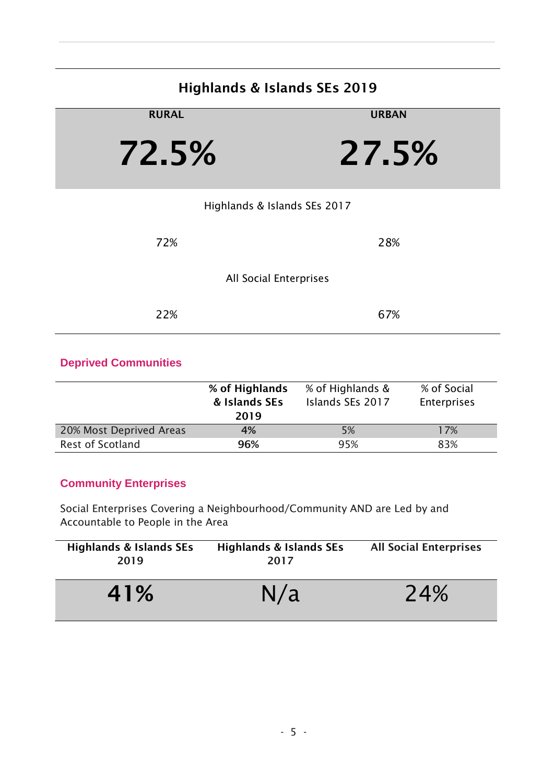# **Highlands & Islands SEs 2019**

| <b>RURAL</b>                 | <b>URBAN</b> |
|------------------------------|--------------|
| 72.5%                        | 27.5%        |
| Highlands & Islands SEs 2017 |              |
| 72%                          | 28%          |
| All Social Enterprises       |              |
| 22%                          | 67%          |

## **Deprived Communities**

|                         | % of Highlands<br>& Islands SEs<br>2019 | % of Highlands &<br>Islands SEs 2017 | % of Social<br><b>Enterprises</b> |
|-------------------------|-----------------------------------------|--------------------------------------|-----------------------------------|
| 20% Most Deprived Areas | 4%                                      | 5%                                   | 17%                               |
| <b>Rest of Scotland</b> | 96%                                     | 95%                                  | 83%                               |

### **Community Enterprises**

Social Enterprises Covering a Neighbourhood/Community AND are Led by and Accountable to People in the Area

| <b>Highlands &amp; Islands SEs</b><br>2019 | <b>Highlands &amp; Islands SEs</b><br>2017 | <b>All Social Enterprises</b> |
|--------------------------------------------|--------------------------------------------|-------------------------------|
| 41%                                        | N/a                                        | 24%                           |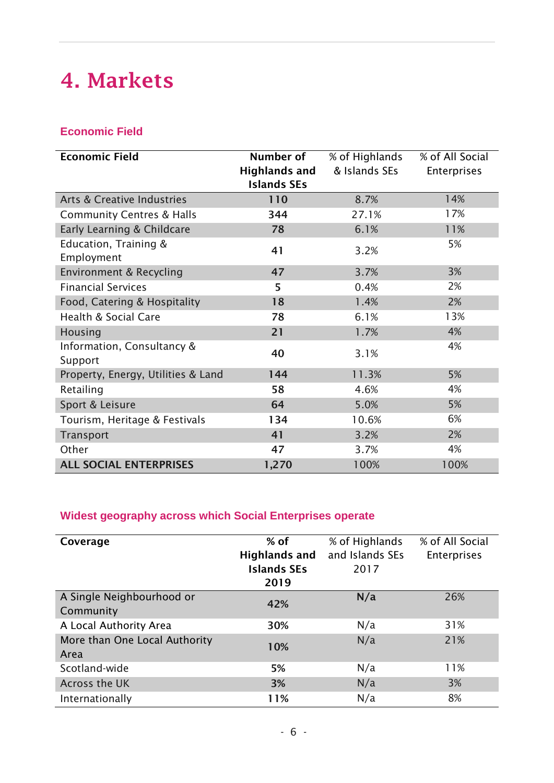# **4. Markets**

## **Economic Field**

| <b>Economic Field</b>                 | Number of                                  | % of Highlands<br>& Islands SEs | % of All Social |
|---------------------------------------|--------------------------------------------|---------------------------------|-----------------|
|                                       | <b>Highlands and</b><br><b>Islands SEs</b> |                                 | Enterprises     |
| Arts & Creative Industries            | 110                                        | 8.7%                            | 14%             |
| <b>Community Centres &amp; Halls</b>  | 344                                        | 27.1%                           | 17%             |
| Early Learning & Childcare            | 78                                         | 6.1%                            | 11%             |
| Education, Training &<br>Employment   | 41                                         | 3.2%                            | 5%              |
| Environment & Recycling               | 47                                         | 3.7%                            | 3%              |
| <b>Financial Services</b>             | 5                                          | 0.4%                            | 2%              |
| Food, Catering & Hospitality          | 18                                         | 1.4%                            | 2%              |
| <b>Health &amp; Social Care</b>       | 78                                         | 6.1%                            | 13%             |
| Housing                               | 21                                         | 1.7%                            | 4%              |
| Information, Consultancy &<br>Support | 40                                         | 3.1%                            | 4%              |
| Property, Energy, Utilities & Land    | 144                                        | 11.3%                           | 5%              |
| Retailing                             | 58                                         | 4.6%                            | 4%              |
| Sport & Leisure                       | 64                                         | 5.0%                            | 5%              |
| Tourism, Heritage & Festivals         | 134                                        | 10.6%                           | 6%              |
| Transport                             | 41                                         | 3.2%                            | 2%              |
| Other                                 | 47                                         | 3.7%                            | 4%              |
| <b>ALL SOCIAL ENTERPRISES</b>         | 1,270                                      | 100%                            | 100%            |

# **Widest geography across which Social Enterprises operate**

| Coverage                      | $%$ of               | % of Highlands  | % of All Social    |
|-------------------------------|----------------------|-----------------|--------------------|
|                               | <b>Highlands and</b> | and Islands SEs | <b>Enterprises</b> |
|                               | <b>Islands SEs</b>   | 2017            |                    |
|                               | 2019                 |                 |                    |
| A Single Neighbourhood or     | 42%                  | N/a             | 26%                |
| Community                     |                      |                 |                    |
| A Local Authority Area        | 30%                  | N/a             | 31%                |
| More than One Local Authority | 10%                  | N/a             | 21%                |
| Area                          |                      |                 |                    |
| Scotland-wide                 | 5%                   | N/a             | 11%                |
| Across the UK                 | 3%                   | N/a             | 3%                 |
| Internationally               | 11%                  | N/a             | 8%                 |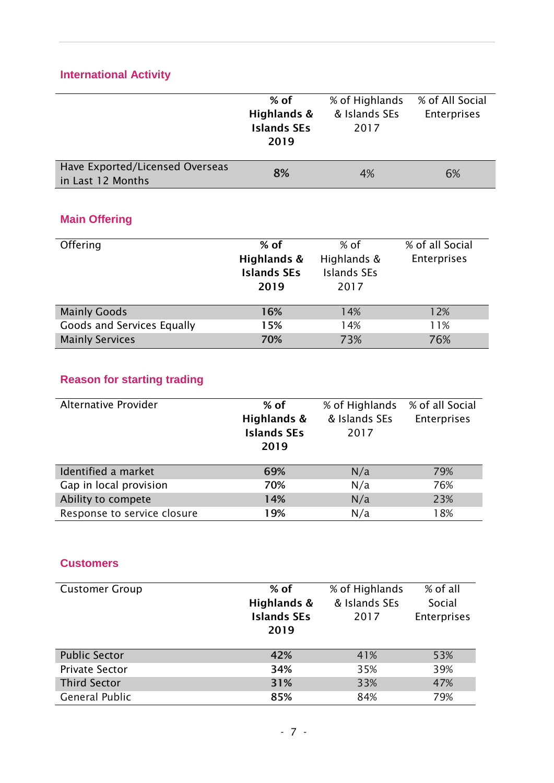# **International Activity**

|                                                      | $%$ of<br>Highlands &<br><b>Islands SEs</b><br>2019 | % of Highlands<br>& Islands SEs<br>2017   | % of All Social<br><b>Enterprises</b> |
|------------------------------------------------------|-----------------------------------------------------|-------------------------------------------|---------------------------------------|
| Have Exported/Licensed Overseas<br>in Last 12 Months | 8%                                                  | 4%                                        | 6%                                    |
| <b>Main Offering</b><br>Offering                     | $%$ of                                              | $%$ of                                    | % of all Social                       |
|                                                      | Highlands &<br><b>Islands SEs</b><br>2019           | Highlands &<br><b>Islands SEs</b><br>2017 | <b>Enterprises</b>                    |
| <b>Mainly Goods</b>                                  | 16%                                                 | 14%                                       | 12%                                   |
| Goods and Services Equally                           | 15%                                                 | 14%                                       | 11%                                   |
| <b>Mainly Services</b>                               | 70%                                                 | 73%                                       | 76%                                   |

# **Reason for starting trading**

| Alternative Provider        | $%$ of<br>Highlands &<br><b>Islands SEs</b><br>2019 | % of Highlands<br>& Islands SEs<br>2017 | % of all Social<br>Enterprises |
|-----------------------------|-----------------------------------------------------|-----------------------------------------|--------------------------------|
| Identified a market         | 69%                                                 | N/a                                     | 79%                            |
| Gap in local provision      | 70%                                                 | N/a                                     | 76%                            |
| Ability to compete          | 14%                                                 | N/a                                     | 23%                            |
| Response to service closure | 19%                                                 | N/a                                     | 18%                            |

### **Customers**

| <b>Customer Group</b> | $%$ of<br>Highlands &<br><b>Islands SEs</b><br>2019 | % of Highlands<br>& Islands SEs<br>2017 | % of all<br>Social<br>Enterprises |
|-----------------------|-----------------------------------------------------|-----------------------------------------|-----------------------------------|
| <b>Public Sector</b>  | 42%                                                 | 41%                                     | 53%                               |
| <b>Private Sector</b> | 34%                                                 | 35%                                     | 39%                               |
| <b>Third Sector</b>   | 31%                                                 | 33%                                     | 47%                               |
| <b>General Public</b> | 85%                                                 | 84%                                     | 79%                               |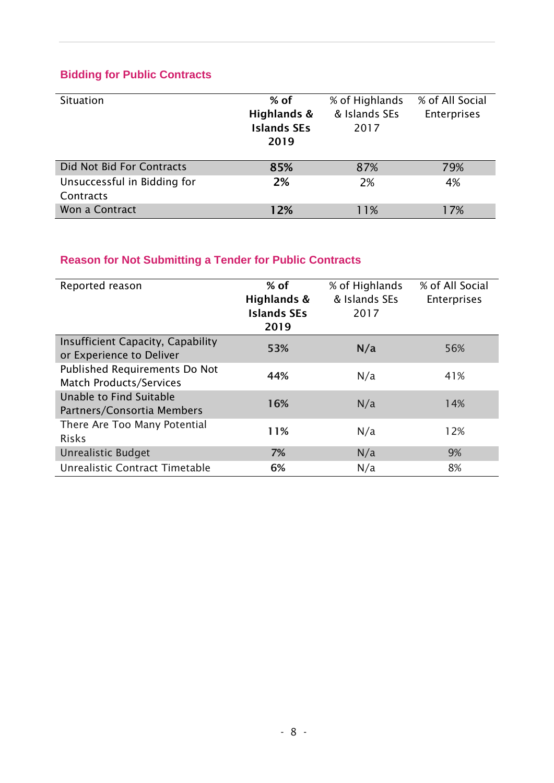## **Bidding for Public Contracts**

| Situation                                | $%$ of<br>Highlands &<br><b>Islands SEs</b><br>2019 | % of Highlands<br>& Islands SEs<br>2017 | % of All Social<br>Enterprises |
|------------------------------------------|-----------------------------------------------------|-----------------------------------------|--------------------------------|
| Did Not Bid For Contracts                | 85%                                                 | 87%                                     | 79%                            |
| Unsuccessful in Bidding for<br>Contracts | 2%                                                  | 2%                                      | 4%                             |
| Won a Contract                           | 12%                                                 | 11%                                     | 17%                            |

# **Reason for Not Submitting a Tender for Public Contracts**

| Reported reason                      | $%$ of             | % of Highlands | % of All Social    |
|--------------------------------------|--------------------|----------------|--------------------|
|                                      | Highlands &        | & Islands SEs  | <b>Enterprises</b> |
|                                      | <b>Islands SEs</b> | 2017           |                    |
|                                      | 2019               |                |                    |
|                                      |                    |                |                    |
| Insufficient Capacity, Capability    | 53%                | N/a            | 56%                |
| or Experience to Deliver             |                    |                |                    |
| <b>Published Requirements Do Not</b> |                    |                |                    |
| <b>Match Products/Services</b>       | 44%                | N/a            | 41%                |
| Unable to Find Suitable              |                    |                |                    |
| Partners/Consortia Members           | 16%                | N/a            | 14%                |
| There Are Too Many Potential         |                    |                |                    |
| <b>Risks</b>                         | 11%                | N/a            | 12%                |
|                                      |                    |                |                    |
| <b>Unrealistic Budget</b>            | 7%                 | N/a            | 9%                 |
| Unrealistic Contract Timetable       | 6%                 | N/a            | 8%                 |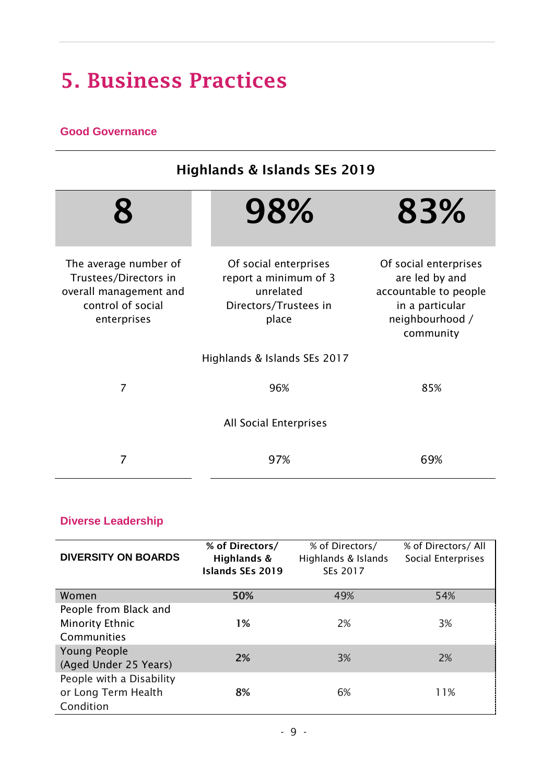# **5. Business Practices**

## **Good Governance**

| <b>Highlands &amp; Islands SEs 2019</b>                                                                      |                                                                                               |                                                                                                                     |  |
|--------------------------------------------------------------------------------------------------------------|-----------------------------------------------------------------------------------------------|---------------------------------------------------------------------------------------------------------------------|--|
|                                                                                                              | 98%                                                                                           | 83%                                                                                                                 |  |
| The average number of<br>Trustees/Directors in<br>overall management and<br>control of social<br>enterprises | Of social enterprises<br>report a minimum of 3<br>unrelated<br>Directors/Trustees in<br>place | Of social enterprises<br>are led by and<br>accountable to people<br>in a particular<br>neighbourhood /<br>community |  |
|                                                                                                              | Highlands & Islands SEs 2017                                                                  |                                                                                                                     |  |
| $\overline{7}$                                                                                               | 96%                                                                                           | 85%                                                                                                                 |  |
| All Social Enterprises                                                                                       |                                                                                               |                                                                                                                     |  |
| 7                                                                                                            | 97%                                                                                           | 69%                                                                                                                 |  |

## **Diverse Leadership**

| <b>DIVERSITY ON BOARDS</b>                                     | % of Directors/<br>Highlands &<br><b>Islands SEs 2019</b> | % of Directors/<br>Highlands & Islands<br>SEs 2017 | % of Directors/ All<br>Social Enterprises |
|----------------------------------------------------------------|-----------------------------------------------------------|----------------------------------------------------|-------------------------------------------|
| Women                                                          | 50%                                                       | 49%                                                | 54%                                       |
| People from Black and<br><b>Minority Ethnic</b><br>Communities | $1\%$                                                     | 2%                                                 | 3%                                        |
| <b>Young People</b><br>(Aged Under 25 Years)                   | 2%                                                        | 3%                                                 | 2%                                        |
| People with a Disability<br>or Long Term Health<br>Condition   | 8%                                                        | 6%                                                 | 11%                                       |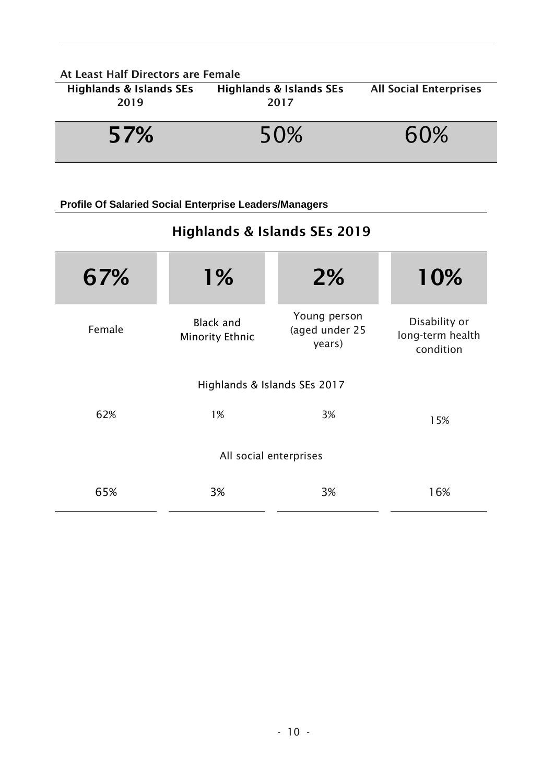| At Least Half Directors are Female |                                    |                               |
|------------------------------------|------------------------------------|-------------------------------|
| <b>Highlands &amp; Islands SEs</b> | <b>Highlands &amp; Islands SEs</b> | <b>All Social Enterprises</b> |
| 2019                               | 2017                               |                               |
|                                    |                                    |                               |
| 57%                                | 50%                                | 60%                           |
|                                    |                                    |                               |

**Profile Of Salaried Social Enterprise Leaders/Managers**

# **Highlands & Islands SEs 2019**

| 67%    | $1\%$                                      | 2%                                       | 10%                                            |
|--------|--------------------------------------------|------------------------------------------|------------------------------------------------|
| Female | <b>Black and</b><br><b>Minority Ethnic</b> | Young person<br>(aged under 25<br>years) | Disability or<br>long-term health<br>condition |
|        | Highlands & Islands SEs 2017               |                                          |                                                |
| 62%    | 1%                                         | 3%                                       | 15%                                            |
|        | All social enterprises                     |                                          |                                                |
| 65%    | 3%                                         | 3%                                       | 16%                                            |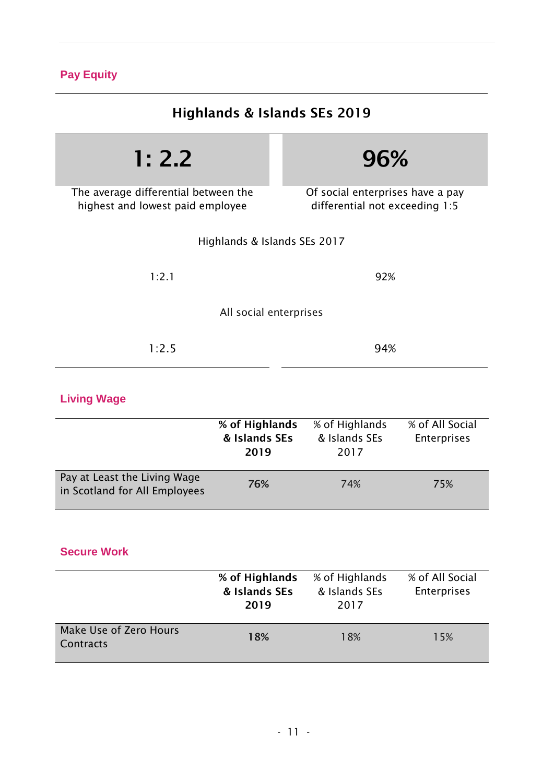## **Pay Equity**

| Highlands & Islands SEs 2019                                             |                                                                    |  |  |
|--------------------------------------------------------------------------|--------------------------------------------------------------------|--|--|
| 1: 2.2                                                                   | 96%                                                                |  |  |
| The average differential between the<br>highest and lowest paid employee | Of social enterprises have a pay<br>differential not exceeding 1:5 |  |  |
| Highlands & Islands SEs 2017                                             |                                                                    |  |  |
| 1:2.1                                                                    | 92%                                                                |  |  |
| All social enterprises                                                   |                                                                    |  |  |
| 1:2.5                                                                    | 94%                                                                |  |  |

# **Living Wage**

|                                                               | % of Highlands<br>& Islands SEs<br>2019 | % of Highlands<br>& Islands SEs<br>2017 | % of All Social<br>Enterprises |
|---------------------------------------------------------------|-----------------------------------------|-----------------------------------------|--------------------------------|
| Pay at Least the Living Wage<br>in Scotland for All Employees | 76%                                     | 74%                                     | 75%                            |

## **Secure Work**

|                                     | % of Highlands<br>& Islands SEs<br>2019 | % of Highlands<br>& Islands SEs<br>2017 | % of All Social<br><b>Enterprises</b> |
|-------------------------------------|-----------------------------------------|-----------------------------------------|---------------------------------------|
| Make Use of Zero Hours<br>Contracts | 18%                                     | 18%                                     | 15%                                   |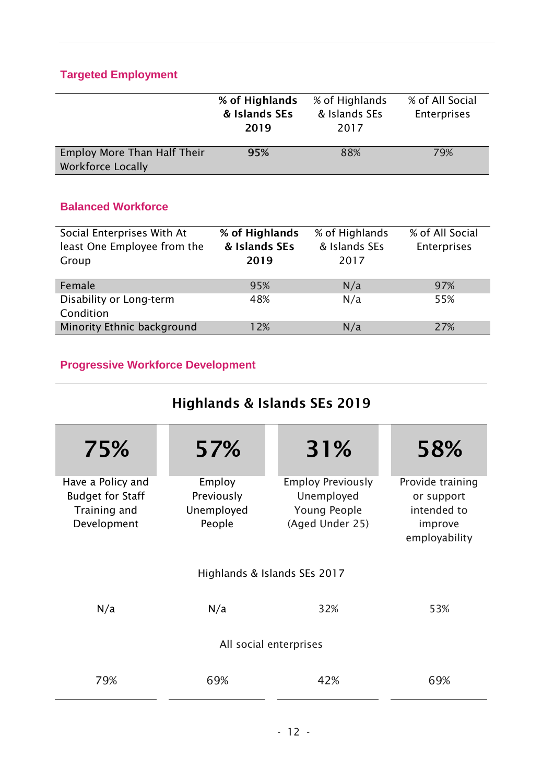## **Targeted Employment**

|                                                                | % of Highlands<br>& Islands SEs<br>2019 | % of Highlands<br>& Islands SEs<br>2017 | % of All Social<br><b>Enterprises</b> |
|----------------------------------------------------------------|-----------------------------------------|-----------------------------------------|---------------------------------------|
| <b>Employ More Than Half Their</b><br><b>Workforce Locally</b> | 95%                                     | 88%                                     | 79%                                   |

## **Balanced Workforce**

| Social Enterprises With At<br>least One Employee from the<br>Group | % of Highlands<br>& Islands SEs<br>2019 | % of Highlands<br>& Islands SEs<br>2017 | % of All Social<br>Enterprises |
|--------------------------------------------------------------------|-----------------------------------------|-----------------------------------------|--------------------------------|
| Female                                                             | 95%                                     | N/a                                     | 97%                            |
| Disability or Long-term<br>Condition                               | 48%                                     | N/a                                     | 55%                            |
| Minority Ethnic background                                         | 12%                                     | N/a                                     | 27%                            |

# **Progressive Workforce Development**

# **Highlands & Islands SEs 2019**

| 75%                                                                         | 57%                                          | 31%                                                                       | 58%                                                                       |
|-----------------------------------------------------------------------------|----------------------------------------------|---------------------------------------------------------------------------|---------------------------------------------------------------------------|
| Have a Policy and<br><b>Budget for Staff</b><br>Training and<br>Development | Employ<br>Previously<br>Unemployed<br>People | <b>Employ Previously</b><br>Unemployed<br>Young People<br>(Aged Under 25) | Provide training<br>or support<br>intended to<br>improve<br>employability |
|                                                                             |                                              | Highlands & Islands SEs 2017                                              |                                                                           |
| N/a                                                                         | N/a                                          | 32%                                                                       | 53%                                                                       |
|                                                                             |                                              | All social enterprises                                                    |                                                                           |
| 79%                                                                         | 69%                                          | 42%                                                                       | 69%                                                                       |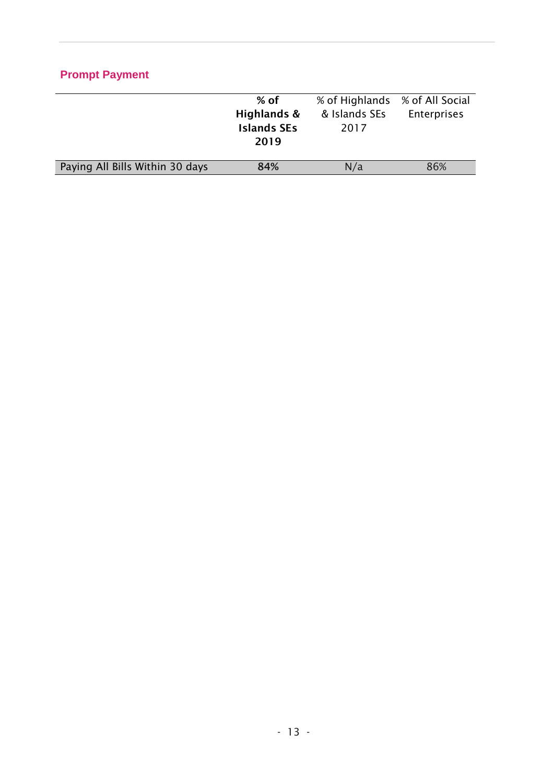## **Prompt Payment**

|                                 | $%$ of             | % of Highlands | % of All Social    |
|---------------------------------|--------------------|----------------|--------------------|
|                                 | Highlands &        | & Islands SEs  | <b>Enterprises</b> |
|                                 | <b>Islands SEs</b> | 2017           |                    |
|                                 | 2019               |                |                    |
|                                 |                    |                |                    |
| Paying All Bills Within 30 days | 84%                | N/a            | 86%                |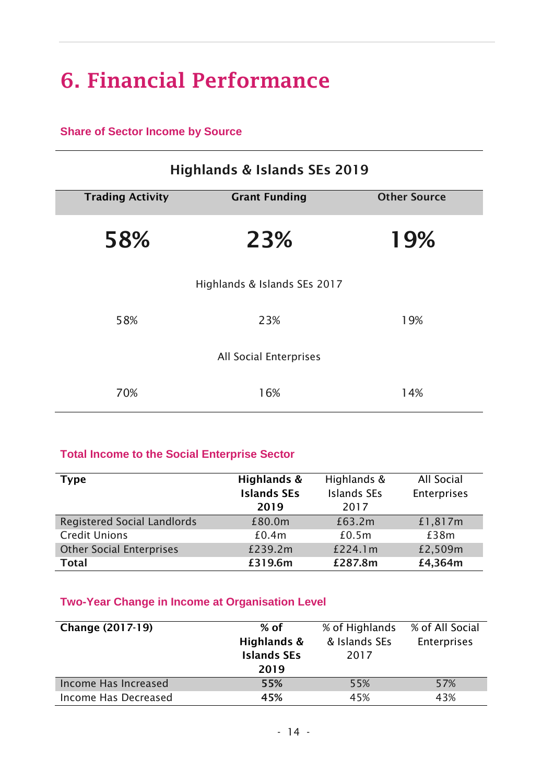# **6. Financial Performance**

### **Share of Sector Income by Source**

| <b>Highlands &amp; Islands SEs 2019</b> |                              |                     |  |
|-----------------------------------------|------------------------------|---------------------|--|
| <b>Trading Activity</b>                 | <b>Grant Funding</b>         | <b>Other Source</b> |  |
| 58%                                     | 23%                          | 19%                 |  |
|                                         | Highlands & Islands SEs 2017 |                     |  |
| 58%                                     | 23%                          | 19%                 |  |
|                                         | All Social Enterprises       |                     |  |
| 70%                                     | 16%                          | 14%                 |  |

### **Total Income to the Social Enterprise Sector**

| <b>Type</b>                        | Highlands &        | Highlands &        | All Social  |
|------------------------------------|--------------------|--------------------|-------------|
|                                    | <b>Islands SEs</b> | <b>Islands SEs</b> | Enterprises |
|                                    | 2019               | 2017               |             |
| <b>Registered Social Landlords</b> | £80.0m             | £63.2m             | £1,817m     |
| <b>Credit Unions</b>               | £0.4m              | £0.5m              | £38m        |
| <b>Other Social Enterprises</b>    | £239.2m            | £224.1m            | £2,509m     |
| <b>Total</b>                       | £319.6m            | £287.8m            | £4,364m     |

### **Two-Year Change in Income at Organisation Level**

| <b>Change (2017-19)</b> | $%$ of<br>Highlands &<br><b>Islands SEs</b><br>2019 | % of Highlands<br>& Islands SEs<br>2017 | % of All Social<br><b>Enterprises</b> |
|-------------------------|-----------------------------------------------------|-----------------------------------------|---------------------------------------|
| Income Has Increased    | 55%                                                 | 55%                                     | 57%                                   |
| Income Has Decreased    | 45%                                                 | 45%                                     | 43%                                   |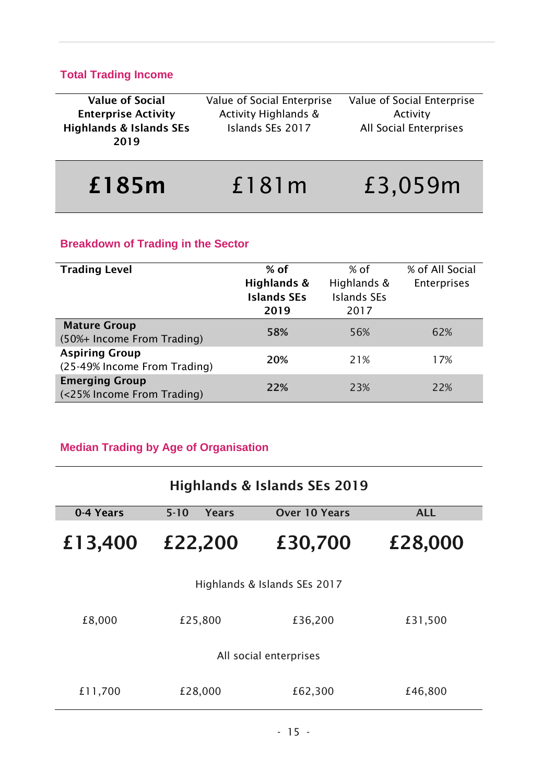## **Total Trading Income**

| <b>Value of Social</b>                     | Value of Social Enterprise      | Value of Social Enterprise    |
|--------------------------------------------|---------------------------------|-------------------------------|
| <b>Enterprise Activity</b>                 | <b>Activity Highlands &amp;</b> | Activity                      |
| <b>Highlands &amp; Islands SEs</b><br>2019 | Islands SEs 2017                | <b>All Social Enterprises</b> |
|                                            |                                 |                               |

| £185m | f181m | £3,059m |
|-------|-------|---------|
|       |       |         |

# **Breakdown of Trading in the Sector**

| <b>Trading Level</b>                                  | $%$ of<br>Highlands &<br><b>Islands SEs</b><br>2019 | % of<br>Highlands &<br><b>Islands SEs</b><br>2017 | % of All Social<br><b>Enterprises</b> |
|-------------------------------------------------------|-----------------------------------------------------|---------------------------------------------------|---------------------------------------|
| <b>Mature Group</b><br>(50%+ Income From Trading)     | 58%                                                 | 56%                                               | 62%                                   |
| <b>Aspiring Group</b><br>(25-49% Income From Trading) | 20%                                                 | 21%                                               | 17%                                   |
| <b>Emerging Group</b><br>(<25% Income From Trading)   | 22%                                                 | 23%                                               | 22%                                   |

# **Median Trading by Age of Organisation**

| <b>Highlands &amp; Islands SEs 2019</b> |                   |                              |            |  |
|-----------------------------------------|-------------------|------------------------------|------------|--|
| 0-4 Years                               | $5 - 10$<br>Years | <b>Over 10 Years</b>         | <b>ALL</b> |  |
| £13,400                                 | £22,200           | £30,700                      | £28,000    |  |
|                                         |                   | Highlands & Islands SEs 2017 |            |  |
| £8,000                                  | £25,800           | £36,200                      | £31,500    |  |
| All social enterprises                  |                   |                              |            |  |
| £11,700                                 | £28,000           | £62,300                      | £46,800    |  |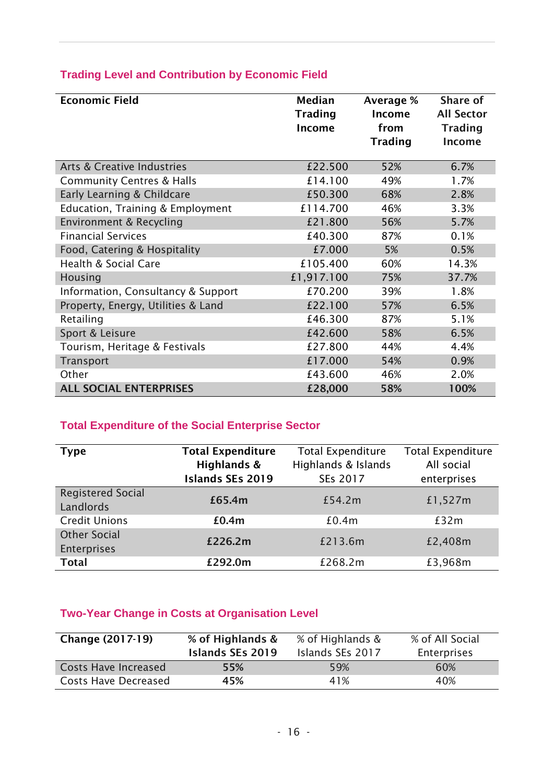| <b>Economic Field</b>                 | <b>Median</b><br><b>Trading</b><br>Income | Average %<br>Income<br>from<br><b>Trading</b> | Share of<br><b>All Sector</b><br><b>Trading</b><br><b>Income</b> |
|---------------------------------------|-------------------------------------------|-----------------------------------------------|------------------------------------------------------------------|
| <b>Arts &amp; Creative Industries</b> | £22.500                                   | 52%                                           | 6.7%                                                             |
| <b>Community Centres &amp; Halls</b>  | £14.100                                   | 49%                                           | 1.7%                                                             |
| Early Learning & Childcare            | £50.300                                   | 68%                                           | 2.8%                                                             |
| Education, Training & Employment      | £114.700                                  | 46%                                           | 3.3%                                                             |
| Environment & Recycling               | £21.800                                   | 56%                                           | 5.7%                                                             |
| <b>Financial Services</b>             | £40.300                                   | 87%                                           | 0.1%                                                             |
| Food, Catering & Hospitality          | £7.000                                    | 5%                                            | 0.5%                                                             |
| <b>Health &amp; Social Care</b>       | £105.400                                  | 60%                                           | 14.3%                                                            |
| Housing                               | £1,917.100                                | 75%                                           | 37.7%                                                            |
| Information, Consultancy & Support    | £70.200                                   | 39%                                           | 1.8%                                                             |
| Property, Energy, Utilities & Land    | £22.100                                   | 57%                                           | 6.5%                                                             |
| Retailing                             | £46.300                                   | 87%                                           | 5.1%                                                             |
| Sport & Leisure                       | £42.600                                   | 58%                                           | 6.5%                                                             |
| Tourism, Heritage & Festivals         | £27.800                                   | 44%                                           | 4.4%                                                             |
| Transport                             | £17.000                                   | 54%                                           | 0.9%                                                             |
| Other                                 | £43.600                                   | 46%                                           | 2.0%                                                             |
| <b>ALL SOCIAL ENTERPRISES</b>         | £28,000                                   | 58%                                           | 100%                                                             |

## **Trading Level and Contribution by Economic Field**

# **Total Expenditure of the Social Enterprise Sector**

| <b>Type</b>                           | <b>Total Expenditure</b><br>Highlands &<br><b>Islands SEs 2019</b> | <b>Total Expenditure</b><br>Highlands & Islands<br>SEs 2017 | <b>Total Expenditure</b><br>All social<br>enterprises |
|---------------------------------------|--------------------------------------------------------------------|-------------------------------------------------------------|-------------------------------------------------------|
| <b>Registered Social</b><br>Landlords | £65.4m                                                             | £54.2m                                                      | £1,527m                                               |
| <b>Credit Unions</b>                  | £0.4m                                                              | £0.4m                                                       | £32m                                                  |
| <b>Other Social</b><br>Enterprises    | £226.2m                                                            | £213.6m                                                     | £2,408m                                               |
| <b>Total</b>                          | £292.0m                                                            | £268.2m                                                     | £3,968m                                               |

## **Two-Year Change in Costs at Organisation Level**

| <b>Change (2017-19)</b>     | % of Highlands &<br><b>Islands SEs 2019</b> | % of Highlands &<br>Islands SEs 2017 | % of All Social<br><b>Enterprises</b> |
|-----------------------------|---------------------------------------------|--------------------------------------|---------------------------------------|
| <b>Costs Have Increased</b> | 55%                                         | 59%                                  | 60%                                   |
| <b>Costs Have Decreased</b> | 45%                                         | 41%                                  | 40%                                   |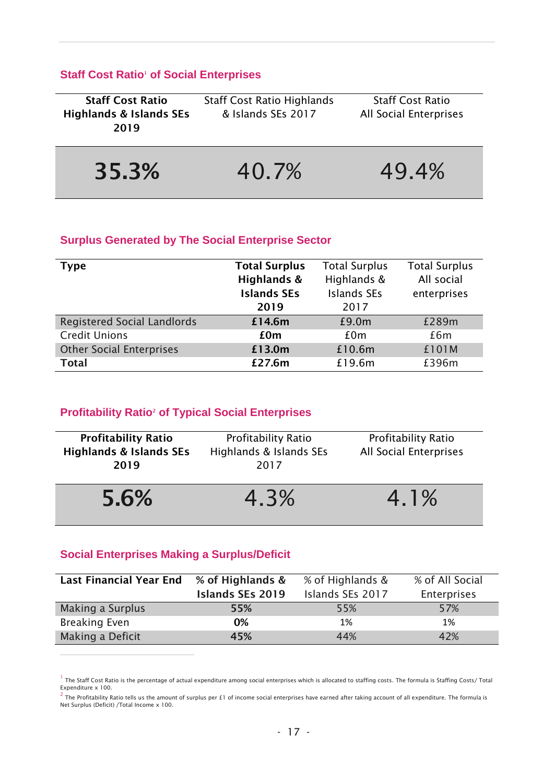### **Staff Cost Ratio<sup>1</sup> of Social Enterprises**

| <b>Staff Cost Ratio</b><br><b>Highlands &amp; Islands SEs</b><br>2019 | <b>Staff Cost Ratio Highlands</b><br>& Islands SEs 2017 | <b>Staff Cost Ratio</b><br><b>All Social Enterprises</b> |
|-----------------------------------------------------------------------|---------------------------------------------------------|----------------------------------------------------------|
| 35.3%                                                                 | 40.7%                                                   | 49.4%                                                    |

#### **Surplus Generated by The Social Enterprise Sector**

| <b>Type</b>                        | <b>Total Surplus</b><br>Highlands &<br><b>Islands SEs</b><br>2019 | <b>Total Surplus</b><br>Highlands &<br><b>Islands SEs</b><br>2017 | <b>Total Surplus</b><br>All social<br>enterprises |
|------------------------------------|-------------------------------------------------------------------|-------------------------------------------------------------------|---------------------------------------------------|
| <b>Registered Social Landlords</b> | £14.6m                                                            | £9.0m                                                             | £289m                                             |
| <b>Credit Unions</b>               | £0m                                                               | £0m                                                               | £6m                                               |
| <b>Other Social Enterprises</b>    | £13.0m                                                            | £10.6m                                                            | £101M                                             |
| <b>Total</b>                       | £27.6m                                                            | £19.6m                                                            | £396m                                             |

### **Profitability Ratio<sup>2</sup> of Typical Social Enterprises**

| <b>Profitability Ratio</b><br><b>Highlands &amp; Islands SEs</b><br>2019 | <b>Profitability Ratio</b><br>Highlands & Islands SEs<br>2017 | <b>Profitability Ratio</b><br>All Social Enterprises |
|--------------------------------------------------------------------------|---------------------------------------------------------------|------------------------------------------------------|
| 5.6%                                                                     | 4.3%                                                          | 4.1%                                                 |

#### **Social Enterprises Making a Surplus/Deficit**

 $\overline{a}$ 

| <b>Last Financial Year End</b> | % of Highlands &        | % of Highlands & | % of All Social    |
|--------------------------------|-------------------------|------------------|--------------------|
|                                | <b>Islands SEs 2019</b> | Islands SEs 2017 | <b>Enterprises</b> |
| Making a Surplus               | 55%                     | 55%              | 57%                |
| <b>Breaking Even</b>           | 0%                      | 1%               | 1%                 |
| Making a Deficit               | 45%                     | 44%              | 42%                |

<sup>&</sup>lt;sup>1</sup> The Staff Cost Ratio is the percentage of actual expenditure among social enterprises which is allocated to staffing costs. The formula is Staffing Costs/ Total<br>Expenditure x 100.

 $^2$  The Profitability Ratio tells us the amount of surplus per £1 of income social enterprises have earned after taking account of all expenditure. The formula is Net Surplus (Deficit) /Total Income x 100.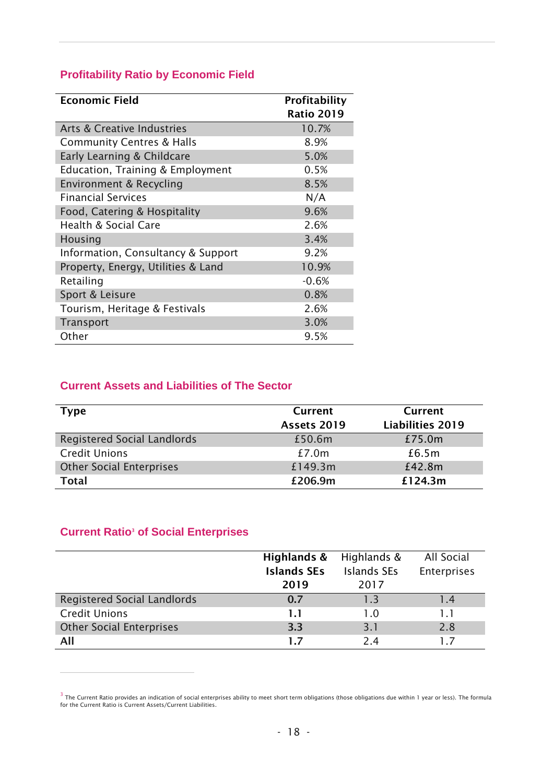## **Profitability Ratio by Economic Field**

| <b>Economic Field</b>                 | Profitability     |
|---------------------------------------|-------------------|
|                                       | <b>Ratio 2019</b> |
| <b>Arts &amp; Creative Industries</b> | 10.7%             |
| <b>Community Centres &amp; Halls</b>  | 8.9%              |
| Early Learning & Childcare            | 5.0%              |
| Education, Training & Employment      | 0.5%              |
| Environment & Recycling               | 8.5%              |
| <b>Financial Services</b>             | N/A               |
| Food, Catering & Hospitality          | 9.6%              |
| <b>Health &amp; Social Care</b>       | 2.6%              |
| Housing                               | 3.4%              |
| Information, Consultancy & Support    | 9.2%              |
| Property, Energy, Utilities & Land    | 10.9%             |
| Retailing                             | $-0.6%$           |
| Sport & Leisure                       | 0.8%              |
| Tourism, Heritage & Festivals         | 2.6%              |
| Transport                             | 3.0%              |
| Other                                 | 9.5%              |

#### **Current Assets and Liabilities of The Sector**

| <b>Type</b>                        | <b>Current</b><br>Assets 2019 | Current<br><b>Liabilities 2019</b> |
|------------------------------------|-------------------------------|------------------------------------|
| <b>Registered Social Landlords</b> | £50.6m                        | £75.0m                             |
| <b>Credit Unions</b>               | £7.0m                         | £6.5m                              |
| <b>Other Social Enterprises</b>    | £149.3m                       | £42.8m                             |
| <b>Total</b>                       | £206.9m                       | £124.3m                            |

### **Current Ratio<sup>3</sup> of Social Enterprises**

 $\overline{a}$ 

|                                    | Highlands &<br><b>Islands SEs</b> | Highlands &<br><b>Islands SEs</b> | All Social<br>Enterprises |
|------------------------------------|-----------------------------------|-----------------------------------|---------------------------|
|                                    | 2019                              | 2017                              |                           |
| <b>Registered Social Landlords</b> | 0.7                               | 13                                | 1.4                       |
| <b>Credit Unions</b>               | 1.1                               | 10                                | 1.1                       |
| <b>Other Social Enterprises</b>    | 3.3                               | 3.1                               | 2.8                       |
| All                                | 1.7                               | 24                                |                           |

<sup>&</sup>lt;sup>3</sup> The Current Ratio provides an indication of social enterprises ability to meet short term obligations (those obligations due within 1 year or less). The formula<br>for the Current Ratio is Current Assets/Current Liabiliti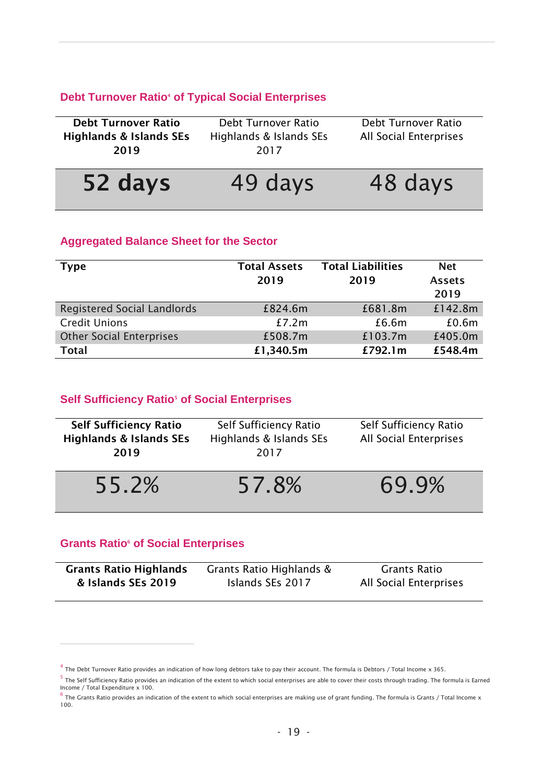#### **Debt Turnover Ratio<sup>4</sup> of Typical Social Enterprises**

| <b>Debt Turnover Ratio</b>         | Debt Turnover Ratio     | Debt Turnover Ratio    |
|------------------------------------|-------------------------|------------------------|
| <b>Highlands &amp; Islands SEs</b> | Highlands & Islands SEs | All Social Enterprises |
| 2019                               | 2017                    |                        |
|                                    |                         |                        |
| 52 days                            | 49 days                 | 48 days                |

#### **Aggregated Balance Sheet for the Sector**

| <b>Type</b>                     | <b>Total Assets</b><br>2019 | <b>Total Liabilities</b><br>2019 | <b>Net</b><br><b>Assets</b><br>2019 |
|---------------------------------|-----------------------------|----------------------------------|-------------------------------------|
| Registered Social Landlords     | £824.6m                     | £681.8m                          | £142.8m                             |
| <b>Credit Unions</b>            | £7.2m                       | £6.6m                            | £0.6m                               |
| <b>Other Social Enterprises</b> | £508.7m                     | £103.7m                          | £405.0m                             |
| <b>Total</b>                    | £1,340.5m                   | £792.1m                          | £548.4m                             |

#### **Self Sufficiency Ratio<sup>5</sup> of Social Enterprises**

| <b>Self Sufficiency Ratio</b><br><b>Highlands &amp; Islands SEs</b><br>2019 | Self Sufficiency Ratio<br>Highlands & Islands SEs<br>2017 | Self Sufficiency Ratio<br>All Social Enterprises |
|-----------------------------------------------------------------------------|-----------------------------------------------------------|--------------------------------------------------|
| 55.2%                                                                       | 57.8%                                                     | 69.9%                                            |

#### **Grants Ratio<sup>6</sup> of Social Enterprises**

j

| <b>Grants Ratio Highlands</b> | Grants Ratio Highlands & | Grants Ratio                  |
|-------------------------------|--------------------------|-------------------------------|
| & Islands SEs 2019            | Islands SEs 2017         | <b>All Social Enterprises</b> |

 $^4$  The Debt Turnover Ratio provides an indication of how long debtors take to pay their account. The formula is Debtors / Total Income x 365.

<sup>&</sup>lt;sup>5</sup> The Self Sufficiency Ratio provides an indication of the extent to which social enterprises are able to cover their costs through trading. The formula is Earned<br>Income / Total Expenditure x 100.

 $^6$  The Grants Ratio provides an indication of the extent to which social enterprises are making use of grant funding. The formula is Grants / Total Income x 100.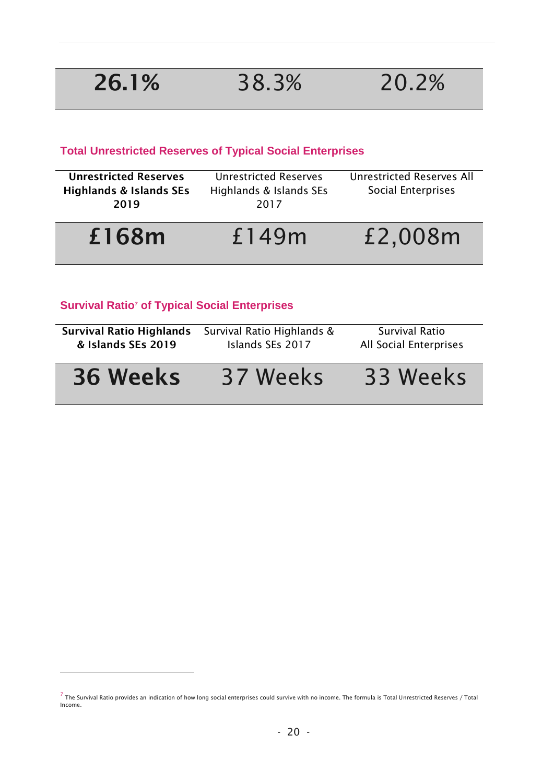$\overline{a}$ 

## **Total Unrestricted Reserves of Typical Social Enterprises**

| 2019                               | 2017                         |                                  |
|------------------------------------|------------------------------|----------------------------------|
|                                    |                              |                                  |
| <b>Highlands &amp; Islands SEs</b> | Highlands & Islands SEs      | Social Enterprises               |
| <b>Unrestricted Reserves</b>       | <b>Unrestricted Reserves</b> | <b>Unrestricted Reserves All</b> |
|                                    |                              |                                  |

# **£168m** £149m £2,008m

## **Survival Ratio<sup>7</sup> of Typical Social Enterprises**

| <b>Survival Ratio Highlands</b> | Survival Ratio Highlands & | Survival Ratio         |
|---------------------------------|----------------------------|------------------------|
| & Islands SEs 2019              | Islands SEs 2017           | All Social Enterprises |
| <b>36 Weeks</b>                 | 37 Weeks                   | 33 Weeks               |

 $^7$  The Survival Ratio provides an indication of how long social enterprises could survive with no income. The formula is Total Unrestricted Reserves / Total Income.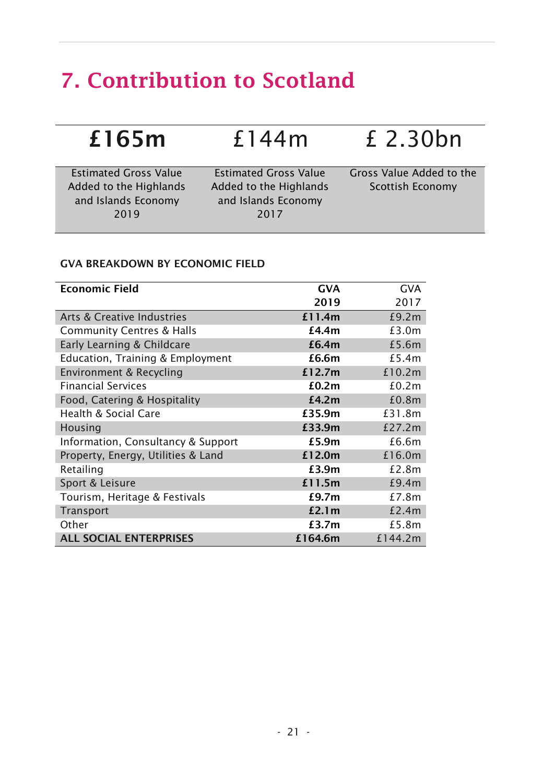# **7. Contribution to Scotland**

| £165m                                                  | £144m                                                  | £ 2.30bn                                            |
|--------------------------------------------------------|--------------------------------------------------------|-----------------------------------------------------|
| <b>Estimated Gross Value</b><br>Added to the Highlands | <b>Estimated Gross Value</b><br>Added to the Highlands | Gross Value Added to the<br><b>Scottish Economy</b> |
| and Islands Economy<br>2019                            | and Islands Economy<br>2017                            |                                                     |

#### **GVA BREAKDOWN BY ECONOMIC FIELD**

| <b>Economic Field</b>                 | <b>GVA</b> | <b>GVA</b> |
|---------------------------------------|------------|------------|
|                                       | 2019       | 2017       |
| <b>Arts &amp; Creative Industries</b> | £11.4m     | £9.2m      |
| <b>Community Centres &amp; Halls</b>  | £4.4m      | £3.0m      |
| Early Learning & Childcare            | £6.4m      | £5.6m      |
| Education, Training & Employment      | £6.6m      | £5.4m      |
| Environment & Recycling               | £12.7m     | £10.2m     |
| <b>Financial Services</b>             | £0.2m      | £0.2m      |
| Food, Catering & Hospitality          | £4.2m      | £0.8m      |
| <b>Health &amp; Social Care</b>       | £35.9m     | £31.8m     |
| Housing                               | £33.9m     | £27.2m     |
| Information, Consultancy & Support    | £5.9m      | £6.6m      |
| Property, Energy, Utilities & Land    | £12.0m     | £16.0m     |
| Retailing                             | £3.9m      | £2.8m      |
| Sport & Leisure                       | £11.5m     | £9.4m      |
| Tourism, Heritage & Festivals         | £9.7m      | £7.8m      |
| Transport                             | £2.1 $m$   | £2.4m      |
| Other                                 | £3.7m      | £5.8m      |
| <b>ALL SOCIAL ENTERPRISES</b>         | £164.6m    | £144.2m    |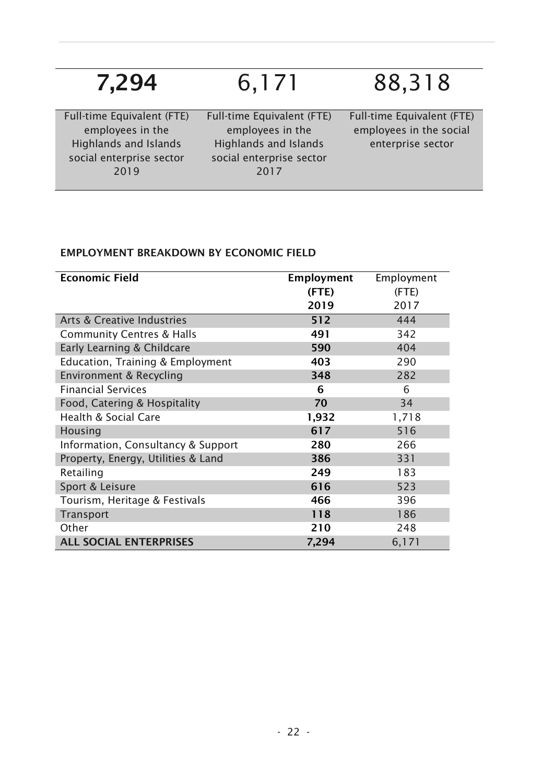| 7,294                                                                                                              | 6,171                                                                                                              | 88,318                                                                     |
|--------------------------------------------------------------------------------------------------------------------|--------------------------------------------------------------------------------------------------------------------|----------------------------------------------------------------------------|
| Full-time Equivalent (FTE)<br>employees in the<br><b>Highlands and Islands</b><br>social enterprise sector<br>2019 | Full-time Equivalent (FTE)<br>employees in the<br><b>Highlands and Islands</b><br>social enterprise sector<br>2017 | Full-time Equivalent (FTE)<br>employees in the social<br>enterprise sector |

## **EMPLOYMENT BREAKDOWN BY ECONOMIC FIELD**

| <b>Economic Field</b>                 | <b>Employment</b> | Employment |
|---------------------------------------|-------------------|------------|
|                                       | (FTE)             | (FTE)      |
|                                       | 2019              | 2017       |
| <b>Arts &amp; Creative Industries</b> | 512               | 444        |
| <b>Community Centres &amp; Halls</b>  | 491               | 342        |
| Early Learning & Childcare            | 590               | 404        |
| Education, Training & Employment      | 403               | 290        |
| Environment & Recycling               | 348               | 282        |
| <b>Financial Services</b>             | 6                 | 6          |
| Food, Catering & Hospitality          | 70                | 34         |
| <b>Health &amp; Social Care</b>       | 1,932             | 1,718      |
| Housing                               | 617               | 516        |
| Information, Consultancy & Support    | 280               | 266        |
| Property, Energy, Utilities & Land    | 386               | 331        |
| Retailing                             | 249               | 183        |
| Sport & Leisure                       | 616               | 523        |
| Tourism, Heritage & Festivals         | 466               | 396        |
| Transport                             | 118               | 186        |
| Other                                 | 210               | 248        |
| <b>ALL SOCIAL ENTERPRISES</b>         | 7,294             | 6,171      |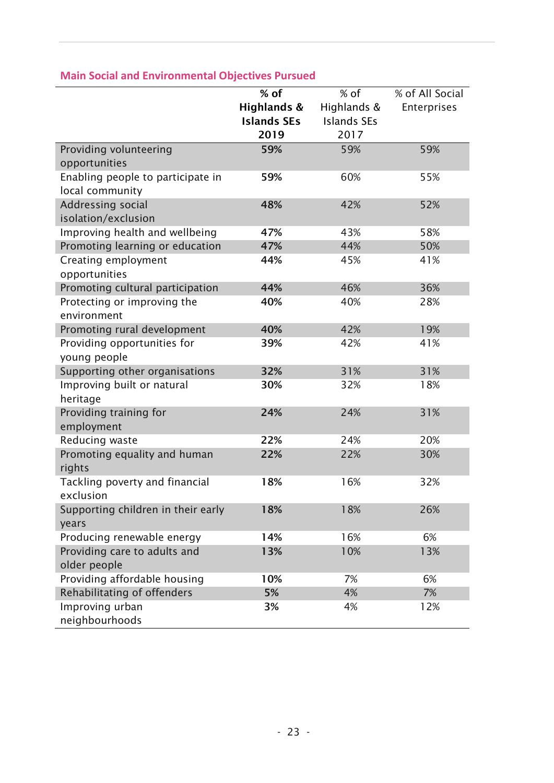|                                                | $%$ of             | % of               | % of All Social |
|------------------------------------------------|--------------------|--------------------|-----------------|
|                                                | Highlands &        | Highlands &        | Enterprises     |
|                                                | <b>Islands SEs</b> | <b>Islands SEs</b> |                 |
|                                                | 2019               | 2017               |                 |
| Providing volunteering                         | 59%                | 59%                | 59%             |
| opportunities                                  |                    |                    |                 |
| Enabling people to participate in              | 59%                | 60%                | 55%             |
| local community                                |                    |                    |                 |
| Addressing social                              | 48%                | 42%                | 52%             |
| isolation/exclusion                            |                    |                    |                 |
| Improving health and wellbeing                 | 47%                | 43%                | 58%             |
| Promoting learning or education                | 47%                | 44%                | 50%             |
| Creating employment                            | 44%                | 45%                | 41%             |
| opportunities                                  |                    |                    |                 |
| Promoting cultural participation               | 44%                | 46%                | 36%             |
| Protecting or improving the                    | 40%                | 40%                | 28%             |
| environment                                    |                    |                    |                 |
| Promoting rural development                    | 40%                | 42%                | 19%             |
| Providing opportunities for                    | 39%                | 42%                | 41%             |
| young people                                   |                    |                    |                 |
| Supporting other organisations                 | 32%                | 31%                | 31%             |
| Improving built or natural                     | 30%                | 32%                | 18%             |
| heritage                                       |                    |                    |                 |
| Providing training for                         | 24%                | 24%                | 31%             |
| employment                                     |                    |                    |                 |
| Reducing waste                                 | 22%                | 24%                | 20%             |
| Promoting equality and human                   | 22%                | 22%                | 30%             |
| rights                                         |                    |                    |                 |
| Tackling poverty and financial                 | 18%                | 16%                | 32%             |
| exclusion                                      |                    |                    |                 |
| Supporting children in their early             | 18%                | 18%                | 26%             |
| years                                          |                    |                    |                 |
| Producing renewable energy                     | 14%                | 16%                | 6%              |
| Providing care to adults and                   | 13%                | 10%                | 13%             |
| older people                                   |                    |                    |                 |
| Providing affordable housing                   | 10%<br>5%          | 7%<br>4%           | 6%<br>7%        |
| Rehabilitating of offenders<br>Improving urban | 3%                 | 4%                 | 12%             |
| neighbourhoods                                 |                    |                    |                 |
|                                                |                    |                    |                 |

### **Main Social and Environmental Objectives Pursued**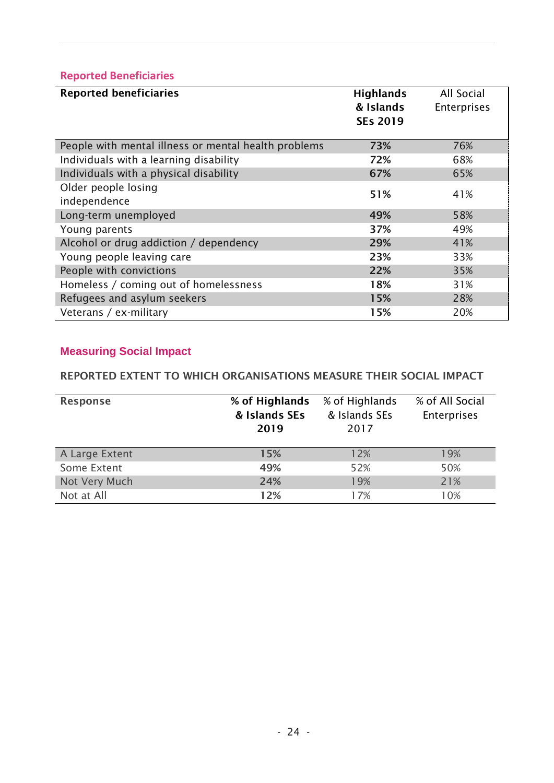## **Reported Beneficiaries**

| <b>Reported beneficiaries</b>                        | <b>Highlands</b> | All Social  |
|------------------------------------------------------|------------------|-------------|
|                                                      | & Islands        | Enterprises |
|                                                      | <b>SEs 2019</b>  |             |
| People with mental illness or mental health problems | 73%              | 76%         |
| Individuals with a learning disability               | 72%              | 68%         |
| Individuals with a physical disability               | 67%              | 65%         |
| Older people losing                                  | 51%              | 41%         |
| independence                                         |                  |             |
| Long-term unemployed                                 | 49%              | 58%         |
| Young parents                                        | 37%              | 49%         |
| Alcohol or drug addiction / dependency               | 29%              | 41%         |
| Young people leaving care                            | 23%              | 33%         |
| People with convictions                              | 22%              | 35%         |
| Homeless / coming out of homelessness                | 18%              | 31%         |
| Refugees and asylum seekers                          | 15%              | 28%         |
| Veterans / ex-military                               | 15%              | 20%         |

# **Measuring Social Impact**

## **REPORTED EXTENT TO WHICH ORGANISATIONS MEASURE THEIR SOCIAL IMPACT**

| <b>Response</b> | % of Highlands<br>& Islands SEs<br>2019 | % of Highlands<br>& Islands SEs<br>2017 | % of All Social<br><b>Enterprises</b> |
|-----------------|-----------------------------------------|-----------------------------------------|---------------------------------------|
| A Large Extent  | 15%                                     | 12%                                     | 19%                                   |
| Some Extent     | 49%                                     | 52%                                     | 50%                                   |
| Not Very Much   | 24%                                     | 19%                                     | 21%                                   |
| Not at All      | 12%                                     | 17%                                     | 10%                                   |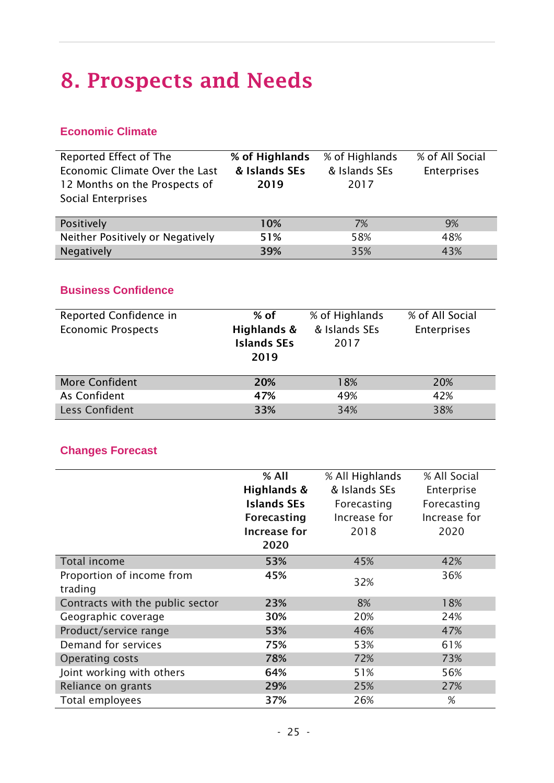# **8. Prospects and Needs**

## **Economic Climate**

| Reported Effect of The<br>Economic Climate Over the Last<br>12 Months on the Prospects of<br>Social Enterprises | % of Highlands<br>& Islands SEs<br>2019 | % of Highlands<br>& Islands SEs<br>2017 | % of All Social<br>Enterprises |
|-----------------------------------------------------------------------------------------------------------------|-----------------------------------------|-----------------------------------------|--------------------------------|
| Positively                                                                                                      | 10%                                     | 7%                                      | 9%                             |
| Neither Positively or Negatively                                                                                | 51%                                     | 58%                                     | 48%                            |
| Negatively                                                                                                      | 39%                                     | 35%                                     | 43%                            |

#### **Business Confidence**

| Reported Confidence in<br><b>Economic Prospects</b> | $%$ of<br>Highlands &<br><b>Islands SEs</b><br>2019 | % of Highlands<br>& Islands SEs<br>2017 | % of All Social<br>Enterprises |
|-----------------------------------------------------|-----------------------------------------------------|-----------------------------------------|--------------------------------|
| <b>More Confident</b>                               | 20%                                                 | 18%                                     | 20%                            |
| As Confident                                        | 47%                                                 | 49%                                     | 42%                            |
| Less Confident                                      | 33%                                                 | 34%                                     | 38%                            |

### **Changes Forecast**

|                                  | % All               | % All Highlands | % All Social |
|----------------------------------|---------------------|-----------------|--------------|
|                                  | Highlands &         | & Islands SEs   | Enterprise   |
|                                  | <b>Islands SEs</b>  | Forecasting     | Forecasting  |
|                                  | <b>Forecasting</b>  | Increase for    | Increase for |
|                                  | <b>Increase for</b> | 2018            | 2020         |
|                                  | 2020                |                 |              |
| Total income                     | 53%                 | 45%             | 42%          |
| Proportion of income from        | 45%                 | 32%             | 36%          |
| trading                          |                     |                 |              |
| Contracts with the public sector | 23%                 | 8%              | 18%          |
| Geographic coverage              | 30%                 | 20%             | 24%          |
| Product/service range            | 53%                 | 46%             | 47%          |
| Demand for services              | 75%                 | 53%             | 61%          |
| <b>Operating costs</b>           | 78%                 | 72%             | 73%          |
| Joint working with others        | 64%                 | 51%             | 56%          |
| Reliance on grants               | 29%                 | 25%             | 27%          |
| Total employees                  | 37%                 | 26%             | %            |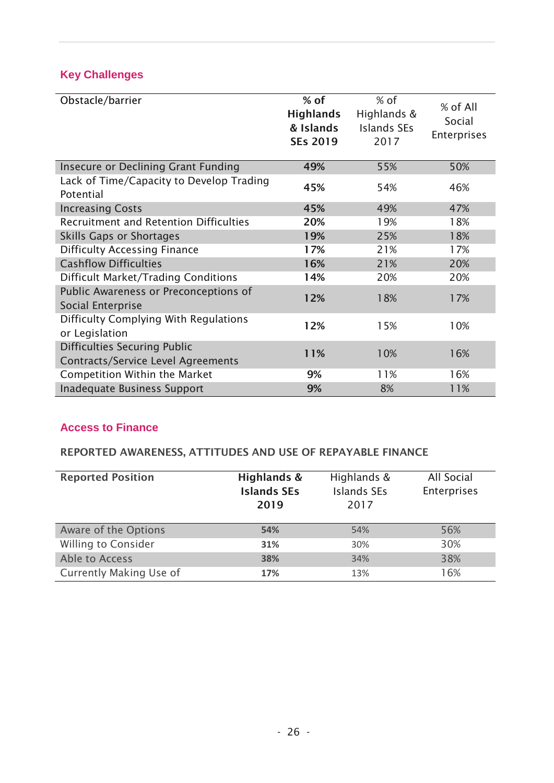## **Key Challenges**

| Obstacle/barrier                                                                 | $%$ of<br><b>Highlands</b><br>& Islands<br><b>SEs 2019</b> | $%$ of<br>Highlands &<br>Islands SEs<br>2017 | % of All<br>Social<br><b>Enterprises</b> |
|----------------------------------------------------------------------------------|------------------------------------------------------------|----------------------------------------------|------------------------------------------|
| <b>Insecure or Declining Grant Funding</b>                                       | 49%                                                        | 55%                                          | 50%                                      |
| Lack of Time/Capacity to Develop Trading<br>Potential                            | 45%                                                        | 54%                                          | 46%                                      |
| <b>Increasing Costs</b>                                                          | 45%                                                        | 49%                                          | 47%                                      |
| <b>Recruitment and Retention Difficulties</b>                                    | 20%                                                        | 19%                                          | 18%                                      |
| <b>Skills Gaps or Shortages</b>                                                  | 19%                                                        | 25%                                          | 18%                                      |
| <b>Difficulty Accessing Finance</b>                                              | 17%                                                        | 21%                                          | 17%                                      |
| <b>Cashflow Difficulties</b>                                                     | 16%                                                        | 21%                                          | 20%                                      |
| <b>Difficult Market/Trading Conditions</b>                                       | 14%                                                        | 20%                                          | 20%                                      |
| Public Awareness or Preconceptions of<br>Social Enterprise                       | 12%                                                        | 18%                                          | 17%                                      |
| Difficulty Complying With Regulations<br>or Legislation                          | 12%                                                        | 15%                                          | 10%                                      |
| <b>Difficulties Securing Public</b><br><b>Contracts/Service Level Agreements</b> | 11%                                                        | 10%                                          | 16%                                      |
| <b>Competition Within the Market</b>                                             | 9%                                                         | 11%                                          | 16%                                      |
| <b>Inadequate Business Support</b>                                               | 9%                                                         | 8%                                           | 11%                                      |

## **Access to Finance**

### **REPORTED AWARENESS, ATTITUDES AND USE OF REPAYABLE FINANCE**

| <b>Reported Position</b>   | Highlands &<br><b>Islands SEs</b><br>2019 | Highlands &<br><b>Islands SEs</b><br>2017 | All Social<br>Enterprises |
|----------------------------|-------------------------------------------|-------------------------------------------|---------------------------|
| Aware of the Options       | 54%                                       | 54%                                       | 56%                       |
| <b>Willing to Consider</b> | 31%                                       | 30%                                       | 30%                       |
| Able to Access             | 38%                                       | 34%                                       | 38%                       |
| Currently Making Use of    | 17%                                       | 13%                                       | 16%                       |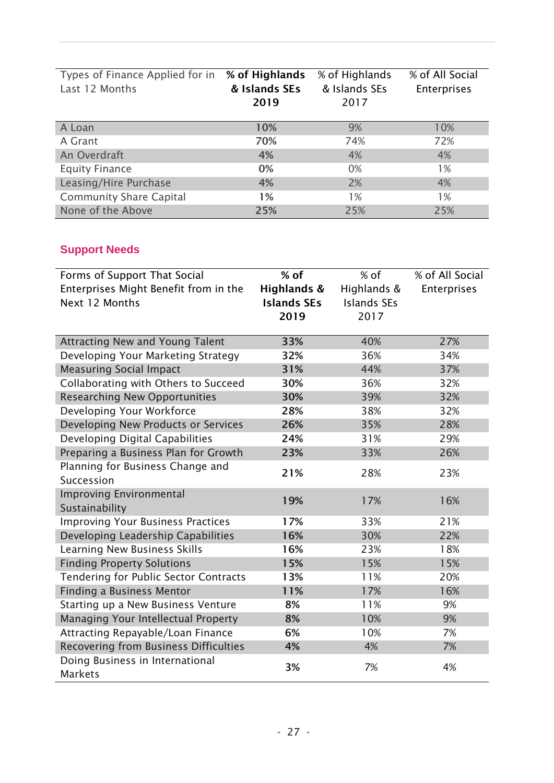| Types of Finance Applied for in % of Highlands<br>Last 12 Months | & Islands SEs<br>2019 | % of Highlands<br>& Islands SEs<br>2017 | % of All Social<br><b>Enterprises</b> |
|------------------------------------------------------------------|-----------------------|-----------------------------------------|---------------------------------------|
| A Loan                                                           | 10%                   | 9%                                      | 10%                                   |
| A Grant                                                          | 70%                   | 74%                                     | 72%                                   |
| An Overdraft                                                     | 4%                    | 4%                                      | 4%                                    |
| <b>Equity Finance</b>                                            | 0%                    | 0%                                      | 1%                                    |
| Leasing/Hire Purchase                                            | 4%                    | 2%                                      | 4%                                    |
| <b>Community Share Capital</b>                                   | 1%                    | 1%                                      | 1%                                    |
| None of the Above                                                | 25%                   | 25%                                     | 25%                                   |

## **Support Needs**

| Forms of Support That Social                      | $%$ of             | % of               | % of All Social |
|---------------------------------------------------|--------------------|--------------------|-----------------|
| Enterprises Might Benefit from in the             | Highlands &        | Highlands &        | Enterprises     |
| Next 12 Months                                    | <b>Islands SEs</b> | <b>Islands SEs</b> |                 |
|                                                   | 2019               | 2017               |                 |
|                                                   |                    |                    |                 |
| <b>Attracting New and Young Talent</b>            | 33%                | 40%                | 27%             |
| Developing Your Marketing Strategy                | 32%                | 36%                | 34%             |
| <b>Measuring Social Impact</b>                    | 31%                | 44%                | 37%             |
| Collaborating with Others to Succeed              | 30%                | 36%                | 32%             |
| <b>Researching New Opportunities</b>              | 30%                | 39%                | 32%             |
| Developing Your Workforce                         | 28%                | 38%                | 32%             |
| Developing New Products or Services               | 26%                | 35%                | 28%             |
| Developing Digital Capabilities                   | 24%                | 31%                | 29%             |
| Preparing a Business Plan for Growth              | 23%                | 33%                | 26%             |
| Planning for Business Change and                  | 21%                | 28%                | 23%             |
| Succession                                        |                    |                    |                 |
| <b>Improving Environmental</b>                    | 19%                | 17%                | 16%             |
| Sustainability                                    |                    |                    |                 |
| <b>Improving Your Business Practices</b>          | 17%                | 33%                | 21%             |
| Developing Leadership Capabilities                | 16%                | 30%                | 22%             |
| <b>Learning New Business Skills</b>               | 16%                | 23%                | 18%             |
| <b>Finding Property Solutions</b>                 | 15%                | 15%                | 15%             |
| <b>Tendering for Public Sector Contracts</b>      | 13%                | 11%                | 20%             |
| <b>Finding a Business Mentor</b>                  | 11%                | 17%                | 16%             |
| Starting up a New Business Venture                | 8%                 | 11%                | 9%              |
| Managing Your Intellectual Property               | 8%                 | 10%                | 9%              |
| Attracting Repayable/Loan Finance                 | 6%                 | 10%                | 7%              |
| Recovering from Business Difficulties             | 4%                 | 4%                 | 7%              |
| Doing Business in International<br><b>Markets</b> | 3%                 | 7%                 | 4%              |